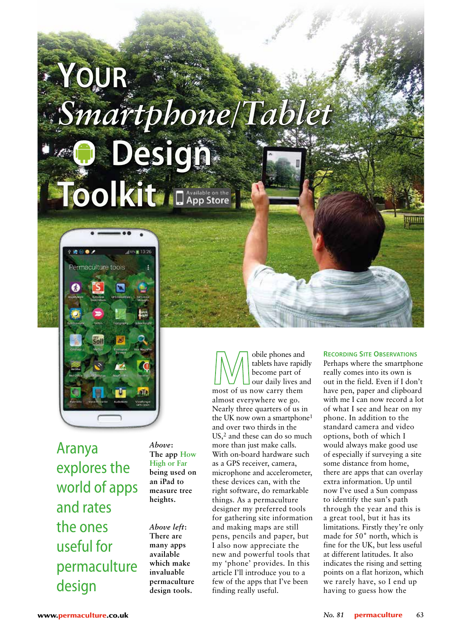## *Smartphone/Tablet* **Your Design Toolkit**



Aranya explores the world of apps and rates the ones useful for permaculture design

*Above***: The app How High or Far being used on an iPad to measure tree heights.**

*Above left***: There are many apps available which make invaluable permaculture design tools.**

obile phones and tablets have rapidly become part of our daily lives and most of us now carry them almost everywhere we go. Nearly three quarters of us in the UK now own a smartphone<sup>1</sup> and over two thirds in the US,2 and these can do so much more than just make calls. With on-board hardware such as a GPS receiver, camera, microphone and accelerometer, these devices can, with the right software, do remarkable things. As a permaculture designer my preferred tools for gathering site information and making maps are still pens, pencils and paper, but I also now appreciate the new and powerful tools that my 'phone' provides. In this article I'll introduce you to a few of the apps that I've been finding really useful.

## **Recording Site Observations**

Perhaps where the smartphone really comes into its own is out in the field. Even if I don't have pen, paper and clipboard with me I can now record a lot of what I see and hear on my phone. In addition to the standard camera and video options, both of which I would always make good use of especially if surveying a site some distance from home, there are apps that can overlay extra information. Up until now I've used a Sun compass to identify the sun's path through the year and this is a great tool, but it has its limitations. Firstly they're only made for 50˚ north, which is fine for the UK, but less useful at different latitudes. It also indicates the rising and setting points on a flat horizon, which we rarely have, so I end up having to guess how the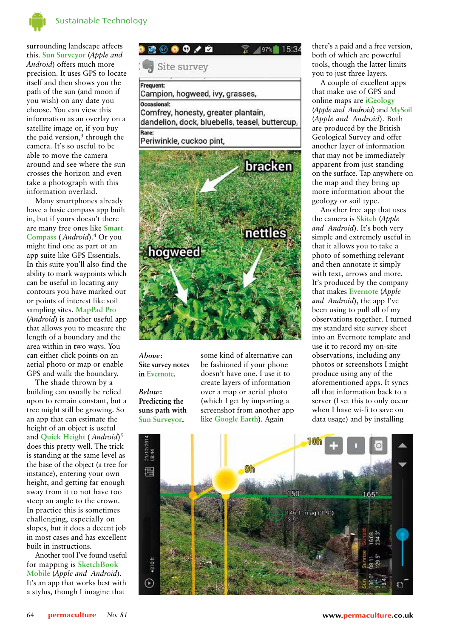

surrounding landscape affects this. **Sun Surveyor** (*Apple and Android*) offers much more precision. It uses GPS to locate itself and then shows you the path of the sun (and moon if you wish) on any date you choose. You can view this information as an overlay on a satellite image or, if you buy the paid version, $\frac{3}{3}$  through the camera. It's so useful to be able to move the camera around and see where the sun crosses the horizon and even take a photograph with this information overlaid.

Many smartphones already have a basic compass app built in, but if yours doesn't there are many free ones like **Smart Compass** ( *Android*).4 Or you might find one as part of an app suite like GPS Essentials. In this suite you'll also find the ability to mark waypoints which can be useful in locating any contours you have marked out or points of interest like soil sampling sites. **MapPad Pro** (*Android*) is another useful app that allows you to measure the length of a boundary and the area within in two ways. You can either click points on an aerial photo or map or enable GPS and walk the boundary.

The shade thrown by a building can usually be relied upon to remain constant, but a tree might still be growing. So an app that can estimate the height of an object is useful and **Quick Height** ( *Android*)5 does this pretty well. The trick is standing at the same level as the base of the object (a tree for instance), entering your own height, and getting far enough away from it to not have too steep an angle to the crown. In practice this is sometimes challenging, especially on slopes, but it does a decent job in most cases and has excellent built in instructions.

Another tool I've found useful for mapping is **SketchBook Mobile** (*Apple and Android*). It's an app that works best with a stylus, though I imagine that



Occasional: Comfrey, honesty, greater plantain, dandelion, dock, bluebells, teasel, buttercup, Rare:

Periwinkle, cuckoo pint,



*Above***: Site survey notes in Evernote.**

*Below***: Predicting the suns path with Sun Surveyor.**

some kind of alternative can be fashioned if your phone doesn't have one. I use it to create layers of information over a map or aerial photo (which I get by importing a screenshot from another app like **Google Earth**). Again

there's a paid and a free version, both of which are powerful tools, though the latter limits you to just three layers.

A couple of excellent apps that make use of GPS and online maps are **iGeology** (*Apple and Android*) and **MySoil**  (*Apple and Android*). Both are produced by the British Geological Survey and offer another layer of information that may not be immediately apparent from just standing on the surface. Tap anywhere on the map and they bring up more information about the geology or soil type.

Another free app that uses the camera is **Skitch** (*Apple and Android*). It's both very simple and extremely useful in that it allows you to take a photo of something relevant and then annotate it simply with text, arrows and more. It's produced by the company that makes **Evernote** (*Apple and Android*), the app I've been using to pull all of my observations together. I turned my standard site survey sheet into an Evernote template and use it to record my on-site observations, including any photos or screenshots I might produce using any of the aforementioned apps. It syncs all that information back to a server (I set this to only occur when I have wi-fi to save on data usage) and by installing